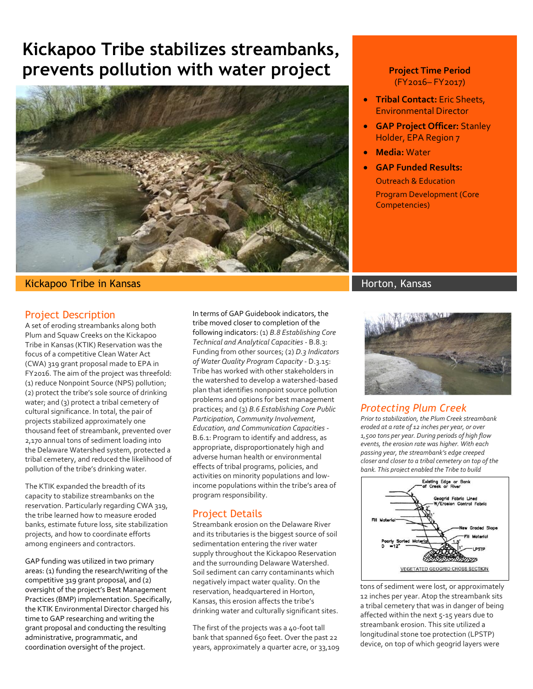# **Kickapoo Tribe stabilizes streambanks, prevents pollution with water project**



#### Kickapoo Tribe in Kansas Horton, Kansas Horton, Kansas Horton, Kansas Horton, Kansas

#### Project Description

A set of eroding streambanks along both Plum and Squaw Creeks on the Kickapoo Tribe in Kansas (KTIK) Reservation was the focus of a competitive Clean Water Act (CWA) 319 grant proposal made to EPA in FY2016. The aim of the project was threefold: (1) reduce Nonpoint Source (NPS) pollution; (2) protect the tribe's sole source of drinking water; and (3) protect a tribal cemetery of cultural significance. In total, the pair of projects stabilized approximately one thousand feet of streambank, prevented over 2,170 annual tons of sediment loading into the Delaware Watershed system, protected a tribal cemetery, and reduced the likelihood of pollution of the tribe's drinking water.

The KTIK expanded the breadth of its capacity to stabilize streambanks on the reservation. Particularly regarding CWA 319, the tribe learned how to measure eroded banks, estimate future loss, site stabilization projects, and how to coordinate efforts among engineers and contractors.

GAP funding was utilized in two primary areas: (1) funding the research/writing of the competitive 319 grant proposal, and (2) oversight of the project's Best Management Practices (BMP) implementation. Specifically, the KTIK Environmental Director charged his time to GAP researching and writing the grant proposal and conducting the resulting administrative, programmatic, and coordination oversight of the project.

In terms of GAP Guidebook indicators, the tribe moved closer to completion of the following indicators: (1) *B.8 Establishing Core Technical and Analytical Capacities* - B.8.3: Funding from other sources; (2) *D.3 Indicators of Water Quality Program Capacity* - D.3.15: Tribe has worked with other stakeholders in the watershed to develop a watershed-based plan that identifies nonpoint source pollution problems and options for best management practices; and (3) *B.6 Establishing Core Public Participation, Community Involvement, Education, and Communication Capacities* - B.6.1: Program to identify and address, as appropriate, disproportionately high and adverse human health or environmental effects of tribal programs, policies, and activities on minority populations and lowincome populations within the tribe's area of program responsibility.

#### Project Details

Streambank erosion on the Delaware River and its tributaries is the biggest source of soil sedimentation entering the river water supply throughout the Kickapoo Reservation and the surrounding Delaware Watershed. Soil sediment can carry contaminants which negatively impact water quality. On the reservation, headquartered in Horton, Kansas, this erosion affects the tribe's drinking water and culturally significant sites.

The first of the projects was a 40-foot tall bank that spanned 650 feet. Over the past 22 years, approximately a quarter acre, or 33,109

#### **Project Time Period**  (FY2016– FY2017)

- **Tribal Contact:** Eric Sheets, Environmental Director
- **GAP Project Officer:** Stanley Holder, EPA Region 7
- **Media:** Water
	- **GAP Funded Results:** Outreach & Education Program Development (Core Competencies)



#### *Protecting Plum Creek*

*Prior to stabilization, the Plum Creek streambank eroded at a rate of 12 inches per year, or over 1,500 tons per year. During periods of high flow events, the erosion rate was higher. With each passing year, the streambank's edge creeped closer and closer to a tribal cemetery on top of the bank. This project enabled the Tribe to build* 



tons of sediment were lost, or approximately 12 inches per year. Atop the streambank sits a tribal cemetery that was in danger of being affected within the next 5-15 years due to streambank erosion. This site utilized a longitudinal stone toe protection (LPSTP) device, on top of which geogrid layers were